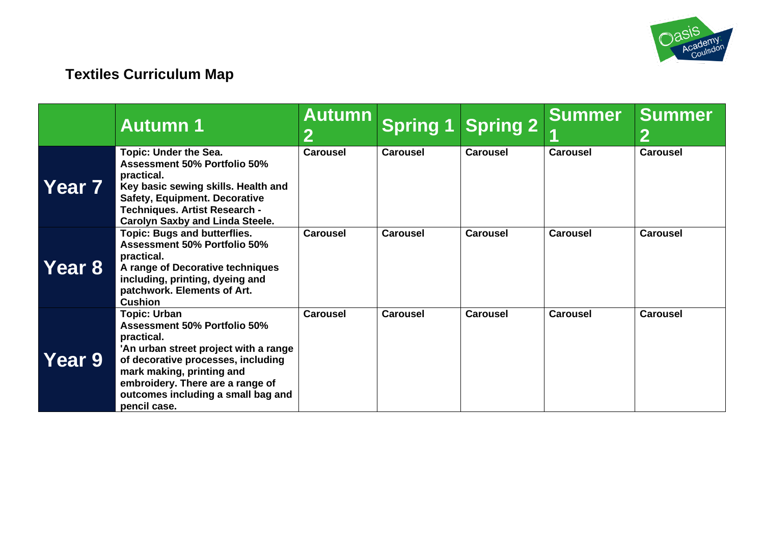

# **Textiles Curriculum Map**

|                   | <b>Autumn 1</b>                                                                                                                                                                                                                                                                | <b>Autumn</b><br>2 | Spring 1        | <b>Spring 2</b> | <b>Summer</b>   | <b>Summer</b><br>2 |
|-------------------|--------------------------------------------------------------------------------------------------------------------------------------------------------------------------------------------------------------------------------------------------------------------------------|--------------------|-----------------|-----------------|-----------------|--------------------|
| Year <sub>7</sub> | <b>Topic: Under the Sea.</b><br><b>Assessment 50% Portfolio 50%</b><br>practical.<br>Key basic sewing skills. Health and<br><b>Safety, Equipment. Decorative</b><br><b>Techniques. Artist Research -</b><br><b>Carolyn Saxby and Linda Steele.</b>                             | <b>Carousel</b>    | <b>Carousel</b> | <b>Carousel</b> | <b>Carousel</b> | <b>Carousel</b>    |
| Year 8            | <b>Topic: Bugs and butterflies.</b><br><b>Assessment 50% Portfolio 50%</b><br>practical.<br>A range of Decorative techniques<br>including, printing, dyeing and<br>patchwork. Elements of Art.<br><b>Cushion</b>                                                               | <b>Carousel</b>    | <b>Carousel</b> | <b>Carousel</b> | <b>Carousel</b> | <b>Carousel</b>    |
| Year 9            | <b>Topic: Urban</b><br><b>Assessment 50% Portfolio 50%</b><br>practical.<br>'An urban street project with a range<br>of decorative processes, including<br>mark making, printing and<br>embroidery. There are a range of<br>outcomes including a small bag and<br>pencil case. | <b>Carousel</b>    | <b>Carousel</b> | <b>Carousel</b> | <b>Carousel</b> | <b>Carousel</b>    |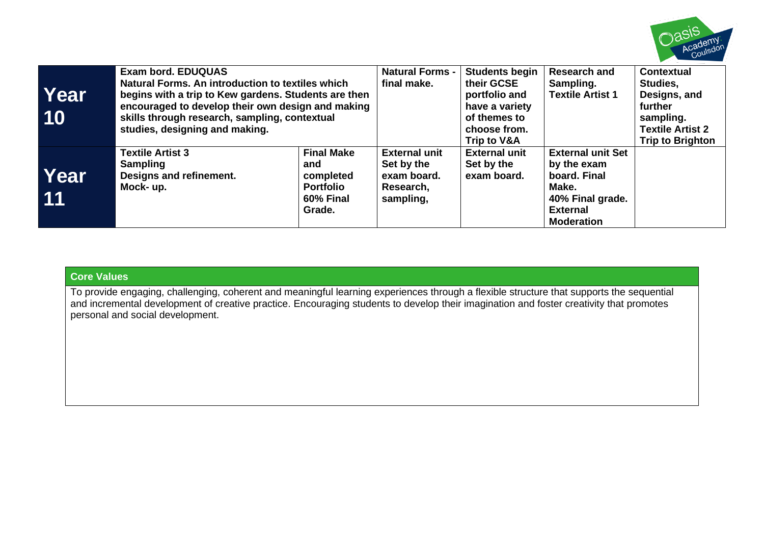

| Year<br>10 | <b>Exam bord, EDUQUAS</b><br>Natural Forms. An introduction to textiles which<br>begins with a trip to Kew gardens. Students are then<br>encouraged to develop their own design and making<br>skills through research, sampling, contextual<br>studies, designing and making. |                                                                                  | <b>Natural Forms -</b><br>final make.                                       | <b>Students begin</b><br>their GCSE<br>portfolio and<br>have a variety<br>of themes to<br>choose from.<br><b>Trip to V&amp;A</b> | <b>Research and</b><br>Sampling.<br><b>Textile Artist 1</b>                                                                  | <b>Contextual</b><br>Studies.<br>Designs, and<br>further<br>sampling.<br><b>Textile Artist 2</b><br><b>Trip to Brighton</b> |
|------------|-------------------------------------------------------------------------------------------------------------------------------------------------------------------------------------------------------------------------------------------------------------------------------|----------------------------------------------------------------------------------|-----------------------------------------------------------------------------|----------------------------------------------------------------------------------------------------------------------------------|------------------------------------------------------------------------------------------------------------------------------|-----------------------------------------------------------------------------------------------------------------------------|
| Year<br>11 | <b>Textile Artist 3</b><br><b>Sampling</b><br>Designs and refinement.<br>Mock- up.                                                                                                                                                                                            | <b>Final Make</b><br>and<br>completed<br><b>Portfolio</b><br>60% Final<br>Grade. | <b>External unit</b><br>Set by the<br>exam board.<br>Research,<br>sampling, | <b>External unit</b><br>Set by the<br>exam board.                                                                                | <b>External unit Set</b><br>by the exam<br>board. Final<br>Make.<br>40% Final grade.<br><b>External</b><br><b>Moderation</b> |                                                                                                                             |

## **Core Values**

To provide engaging, challenging, coherent and meaningful learning experiences through a flexible structure that supports the sequential and incremental development of creative practice. Encouraging students to develop their imagination and foster creativity that promotes personal and social development.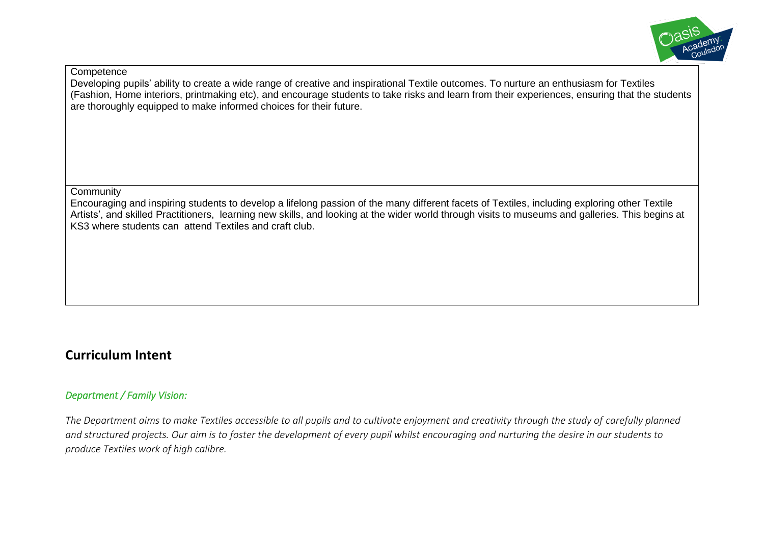

**Competence** 

Developing pupils' ability to create a wide range of creative and inspirational Textile outcomes. To nurture an enthusiasm for Textiles (Fashion, Home interiors, printmaking etc), and encourage students to take risks and learn from their experiences, ensuring that the students are thoroughly equipped to make informed choices for their future.

**Community** 

Encouraging and inspiring students to develop a lifelong passion of the many different facets of Textiles, including exploring other Textile Artists', and skilled Practitioners, learning new skills, and looking at the wider world through visits to museums and galleries. This begins at KS3 where students can attend Textiles and craft club.

# **Curriculum Intent**

### *Department / Family Vision:*

*The Department aims to make Textiles accessible to all pupils and to cultivate enjoyment and creativity through the study of carefully planned and structured projects. Our aim is to foster the development of every pupil whilst encouraging and nurturing the desire in our students to produce Textiles work of high calibre.*